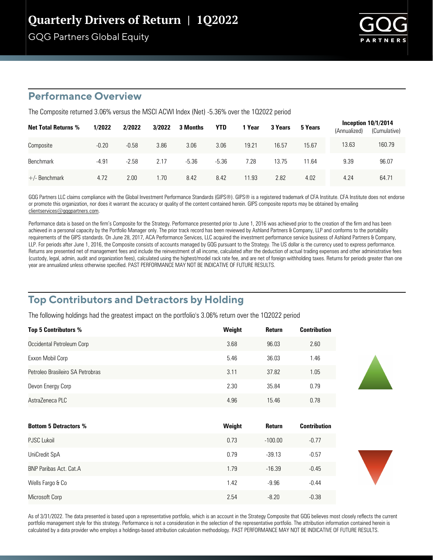# Quarterly Drivers of Return | 1Q2022

GQG Partners Global Equity



### **Performance Overview**

The Composite returned 3.06% versus the MSCI ACWI Index (Net) -5.36% over the 102022 period

| <b>Net Total Returns %</b> | 1/2022  | 2/2022  | 3/2022 | 3 Months | <b>YTD</b> | 1 Year | 3 Years | 5 Years | (Annualized) | Inception $10/1/2014$<br>(Cumulative) |
|----------------------------|---------|---------|--------|----------|------------|--------|---------|---------|--------------|---------------------------------------|
| Composite                  | $-0.20$ | $-0.58$ | 3.86   | 3.06     | 3.06       | 19.21  | 16.57   | 15.67   | 13.63        | 160.79                                |
| <b>Benchmark</b>           | $-4.91$ | $-2.58$ | 2.17   | $-5.36$  | $-5.36$    | 7.28   | 13.75   | 11.64   | 9.39         | 96.07                                 |
| $+/-$ Benchmark            | 4.72    | 2.00    | .70    | 8.42     | 8.42       | 11.93  | 2.82    | 4.02    | 4.24         | 64.71                                 |

GQG Partners LLC claims compliance with the Global Investment Performance Standards (GIPS®). GIPS® is a registered trademark of CFA Institute. CFA Institute does not endorse or promote this organization, nor does it warrant the accuracy or quality of the content contained herein. GIPS composite reports may be obtained by emailing clientservices@gqgpartners.com.

Performance data is based on the firm's Composite for the Strategy. Performance presented prior to June 1, 2016 was achieved prior to the creation of the firm and has been achieved in a personal capacity by the Portfolio Manager only. The prior track record has been reviewed by Ashland Partners & Company, LLP and conforms to the portability requirements of the GIPS standards. On June 28, 2017, ACA Performance Services, LLC acquired the investment performance service business of Ashland Partners & Company, LLP. For periods after June 1, 2016, the Composite consists of accounts managed by GQG pursuant to the Strategy. The US dollar is the currency used to express performance. Returns are presented net of management fees and include the reinvestment of all income, calculated after the deduction of actual trading expenses and other administrative fees (custody, legal, admin, audit and organization fees), calculated using the highest/model rack rate fee, and are net of foreign withholding taxes. Returns for periods greater than one year are annualized unless otherwise specified. PAST PERFORMANCE MAY NOT BE INDICATIVE OF FUTURE RESULTS.

## **Top Contributors and Detractors by Holding**

The following holdings had the greatest impact on the portfolio's 3.06% return over the 102022 period

| <b>Top 5 Contributors %</b>      | Weight | <b>Return</b> | <b>Contribution</b> |
|----------------------------------|--------|---------------|---------------------|
| Occidental Petroleum Corp        | 3.68   | 96.03         | 2.60                |
| Exxon Mobil Corp                 | 5.46   | 36.03         | 1.46                |
| Petroleo Brasileiro SA Petrobras | 3.11   | 37.82         | 1.05                |
| Devon Energy Corp                | 2.30   | 35.84         | 0.79                |
| AstraZeneca PLC                  | 4.96   | 15.46         | 0.78                |
|                                  |        |               |                     |

| <b>Bottom 5 Detractors %</b>  | Weight | <b>Return</b> | <b>Contribution</b> |
|-------------------------------|--------|---------------|---------------------|
| <b>PJSC Lukoil</b>            | 0.73   | $-100.00$     | $-0.77$             |
| UniCredit SpA                 | 0.79   | $-39.13$      | $-0.57$             |
| <b>BNP Paribas Act. Cat.A</b> | 1.79   | $-16.39$      | $-0.45$             |
| Wells Fargo & Co              | 1.42   | $-9.96$       | $-0.44$             |
| Microsoft Corp                | 2.54   | $-8.20$       | $-0.38$             |

As of 3/31/2022. The data presented is based upon a representative portfolio, which is an account in the Strategy Composite that GQG believes most closely reflects the current portfolio management style for this strategy. Performance is not a consideration in the selection of the representative portfolio. The attribution information contained herein is calculated by a data provider who employs a holdings-based attribution calculation methodology. PAST PERFORMANCE MAY NOT BE INDICATIVE OF FUTURE RESULTS.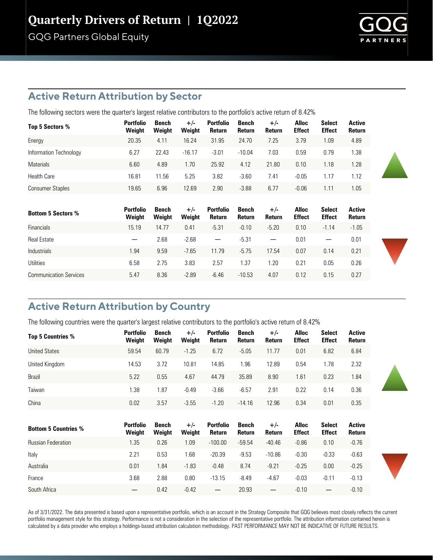# Quarterly Drivers of Return | 1Q2022

GQG Partners Global Equity



### **Active Return Attribution by Sector**

The following sectors were the quarter's largest relative contributors to the portfolio's active return of 8.42%

| Top 5 Sectors %         | <b>Portfolio</b><br>Weight | Bench<br>Weight | $+/-$<br>Weight | <b>Portfolio</b><br>Return | Bench<br>Return | $+/-$<br>Return | <b>Alloc</b><br><b>Effect</b> | <b>Select</b><br><b>Effect</b> | Active<br>Return |
|-------------------------|----------------------------|-----------------|-----------------|----------------------------|-----------------|-----------------|-------------------------------|--------------------------------|------------------|
| Energy                  | 20.35                      | 4.11            | 16.24           | 31.95                      | 24.70           | 7.25            | 3.79                          | 1.09                           | 4.89             |
| Information Technology  | 6.27                       | 22.43           | $-16.17$        | $-3.01$                    | $-10.04$        | 7.03            | 0.59                          | 0.79                           | 1.38             |
| <b>Materials</b>        | 6.60                       | 4.89            | 1.70            | 25.92                      | 4.12            | 21.80           | 0.10                          | 1.18                           | 1.28             |
| <b>Health Care</b>      | 16.81                      | 11.56           | 5.25            | 3.82                       | $-3.60$         | 7.41            | $-0.05$                       | 1.17                           | 1.12             |
| <b>Consumer Staples</b> | 19.65                      | 6.96            | 12.69           | 2.90                       | $-3.88$         | 6.77            | $-0.06$                       | 1.11                           | 1.05             |

| <b>Bottom 5 Sectors %</b>     | <b>Portfolio</b><br>Weight | Bench<br>Weight | $+/-$<br>Weight | <b>Portfolio</b><br>Return | Bench<br>Return | $+/-$<br>Return          | <b>Alloc</b><br><b>Effect</b> | <b>Select</b><br><b>Effect</b> | Active<br>Return |
|-------------------------------|----------------------------|-----------------|-----------------|----------------------------|-----------------|--------------------------|-------------------------------|--------------------------------|------------------|
| <b>Financials</b>             | 15.19                      | 14.77           | 0.41            | $-5.31$                    | $-0.10$         | $-5.20$                  | 0.10                          | $-1.14$                        | $-1.05$          |
| <b>Real Estate</b>            |                            | 2.68            | $-2.68$         | $\overline{\phantom{0}}$   | $-5.31$         | $\overline{\phantom{m}}$ | 0.01                          |                                | 0.01             |
| Industrials                   | 1.94                       | 9.59            | $-7.65$         | 11.79                      | $-5.75$         | 17.54                    | 0.07                          | 0.14                           | 0.21             |
| Utilities                     | 6.58                       | 2.75            | 3.83            | 2.57                       | 1.37            | $\overline{20}$          | 0.21                          | 0.05                           | 0.26             |
| <b>Communication Services</b> | 5.47                       | 8.36            | $-2.89$         | $-6.46$                    | $-10.53$        | 4.07                     | 0.12                          | 0.15                           | 0.27             |

## **Active Return Attribution by Country**

The following countries were the quarter's largest relative contributors to the portfolio's active return of 8.42%

| <b>Top 5 Countries %</b>    | <b>Portfolio</b><br>Weight | Bench<br>Weight | $+/-$<br>Weight | <b>Portfolio</b><br>Return | Bench<br>Return | $+/-$<br>Return | <b>Alloc</b><br><b>Effect</b> | <b>Select</b><br><b>Effect</b> | <b>Active</b><br>Return |
|-----------------------------|----------------------------|-----------------|-----------------|----------------------------|-----------------|-----------------|-------------------------------|--------------------------------|-------------------------|
| <b>United States</b>        | 59.54                      | 60.79           | $-1.25$         | 6.72                       | $-5.05$         | 11.77           | 0.01                          | 6.82                           | 6.84                    |
| United Kingdom              | 14.53                      | 3.72            | 10.81           | 14.85                      | 1.96            | 12.89           | 0.54                          | 1.78                           | 2.32                    |
| Brazil                      | 5.22                       | 0.55            | 4.67            | 44.79                      | 35.89           | 8.90            | 1.61                          | 0.23                           | 1.84                    |
| Taiwan                      | 1.38                       | 1.87            | $-0.49$         | $-3.66$                    | $-6.57$         | 2.91            | 0.22                          | 0.14                           | 0.36                    |
| China                       | 0.02                       | 3.57            | $-3.55$         | $-1.20$                    | $-14.16$        | 12.96           | 0.34                          | 0.01                           | 0.35                    |
|                             |                            |                 |                 |                            |                 |                 |                               |                                |                         |
| <b>Bottom 5 Countries %</b> | <b>Portfolio</b><br>Weight | Bench<br>Weight | $+/-$<br>Weight | <b>Portfolio</b><br>Return | Bench<br>Return | $+/-$<br>Return | <b>Alloc</b><br><b>Effect</b> | <b>Select</b><br><b>Effect</b> | <b>Active</b><br>Return |
| <b>Russian Federation</b>   | 1.35                       | 0.26            | 1.09            | $-100.00$                  | $-59.54$        | $-40.46$        | $-0.86$                       | 0.10                           | $-0.76$                 |
| Italy                       | 2.21                       | 0.53            | 1.68            | $-20.39$                   | $-9.53$         | $-10.86$        | $-0.30$                       | $-0.33$                        | $-0.63$                 |
| Australia                   | 0.01                       | 1.84            | $-1.83$         | $-0.48$                    | 8.74            | $-9.21$         | $-0.25$                       | 0.00                           | $-0.25$                 |
| France                      | 3.68                       | 2.88            | 0.80            | $-13.15$                   | $-8.49$         | $-4.67$         | $-0.03$                       | $-0.11$                        | $-0.13$                 |
| South Africa                | —                          | 0.42            | $-0.42$         | —                          | 20.93           | —               | $-0.10$                       | $\overline{\phantom{m}}$       | $-0.10$                 |

As of 3/31/2022. The data presented is based upon a representative portfolio, which is an account in the Strategy Composite that GQG believes most closely reflects the current portfolio management style for this strategy. Performance is not a consideration in the selection of the representative portfolio. The attribution information contained herein is calculated by a data provider who employs a holdings-based attribution calculation methodology. PAST PERFORMANCE MAY NOT BE INDICATIVE OF FUTURE RESULTS.